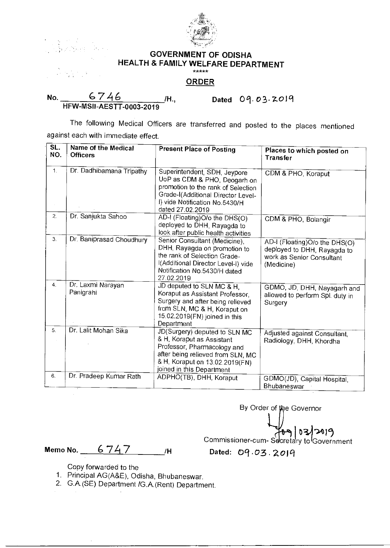

## **GOVERNMENT OF ODISHA HEALTH & FAMILY WELFARE DEPARTMENT**

## **ORDER**

No. 6746 Mo. 2019 HFW-MS11-AESTT-0003-2019

The following Medical Officers are transferred and posted to the places mentioned against each with immediate effect.

| SL.<br>NO.     | Name of the Medical<br><b>Officers</b> | <b>Present Place of Posting</b>                                                                                                                                                                | Places to which posted on<br>Transfer                                                                   |
|----------------|----------------------------------------|------------------------------------------------------------------------------------------------------------------------------------------------------------------------------------------------|---------------------------------------------------------------------------------------------------------|
| $\mathbf{1}$ . | Dr. Dadhibamana Tripathy               | Superintendent, SDH, Jeypore<br>UoP as CDM & PHO, Deogarh on<br>promotion to the rank of Selection<br>Grade-I(Additional Director Level-<br>I) vide Notification No.5430/H<br>dated 27.02.2019 | CDM & PHO, Koraput                                                                                      |
| 2.             | Dr. Sanjukta Sahoo                     | AD-I (Floating)O/o the DHS(O)<br>deployed to DHH, Rayagda to<br>look after public health activities                                                                                            | CDM & PHO, Bolangir                                                                                     |
| 3.             | Dr. Baniprasad Choudhury               | Senior Consultant (Medicine),<br>DHH, Rayagda on promotion to<br>the rank of Selection Grade-<br>I(Additional Director Level-I) vide<br>Notification No.5430/H dated<br>27.02.2019             | AD-I (Floating)O/o the DHS(O)<br>deployed to DHH, Rayagda to<br>work as Senior Consultant<br>(Medicine) |
| 4.             | Dr. Laxmi Narayan<br>Panigrahi         | JD deputed to SLN MC & H,<br>Koraput as Assistant Professor,<br>Surgery and after being relieved<br>from SLN, MC & H, Koraput on<br>15.02.2019(FN) joined in this<br>Department                | GDMO, JD, DHH, Nayagarh and<br>allowed to perform Spl. duty in<br>Surgery                               |
| 5.             | Dr. Lalit Mohan Sika                   | JD(Surgery) deputed to SLN MC<br>& H, Koraput as Assistant<br>Professor, Pharmacology and<br>after being relieved from SLN, MC<br>& H, Koraput on 13.02.2019(FN)<br>joined in this Department  | Adjusted against Consultant,<br>Radiology, DHH, Khordha                                                 |
| 6.             | Dr. Pradeep Kumar Rath                 | ADPHO(TB), DHH, Koraput                                                                                                                                                                        | GDMO(JD), Capital Hospital,<br>Bhubaneswar                                                              |

By Order of the Governor 103/2019 Commissioner-cum- Secretary to Government

**Memo No.** 6747 /H Dated: 09.03.2019

- Copy forwarded to the
- 1. Principal AG(A&E), Odisha, Bhubaneswar.
- 2. G.A.(SE) Department /G.A.(Rent) Department.